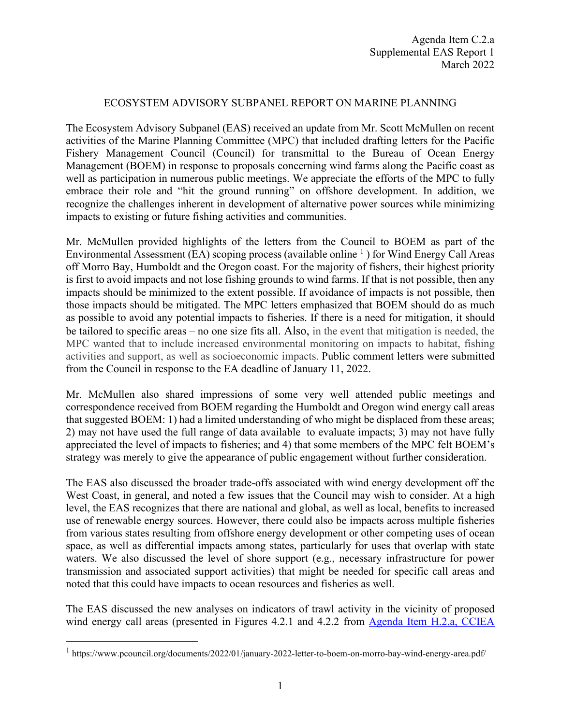## ECOSYSTEM ADVISORY SUBPANEL REPORT ON MARINE PLANNING

The Ecosystem Advisory Subpanel (EAS) received an update from Mr. Scott McMullen on recent activities of the Marine Planning Committee (MPC) that included drafting letters for the Pacific Fishery Management Council (Council) for transmittal to the Bureau of Ocean Energy Management (BOEM) in response to proposals concerning wind farms along the Pacific coast as well as participation in numerous public meetings. We appreciate the efforts of the MPC to fully embrace their role and "hit the ground running" on offshore development. In addition, we recognize the challenges inherent in development of alternative power sources while minimizing impacts to existing or future fishing activities and communities.

Mr. McMullen provided highlights of the letters from the Council to BOEM as part of the Environmental Assessment (EA) scoping process (available online  $\frac{1}{1}$  $\frac{1}{1}$  $\frac{1}{1}$ ) for Wind Energy Call Areas off Morro Bay, Humboldt and the Oregon coast. For the majority of fishers, their highest priority is first to avoid impacts and not lose fishing grounds to wind farms. If that is not possible, then any impacts should be minimized to the extent possible. If avoidance of impacts is not possible, then those impacts should be mitigated. The MPC letters emphasized that BOEM should do as much as possible to avoid any potential impacts to fisheries. If there is a need for mitigation, it should be tailored to specific areas – no one size fits all. Also, in the event that mitigation is needed, the MPC wanted that to include increased environmental monitoring on impacts to habitat, fishing activities and support, as well as socioeconomic impacts. Public comment letters were submitted from the Council in response to the EA deadline of January 11, 2022.

Mr. McMullen also shared impressions of some very well attended public meetings and correspondence received from BOEM regarding the Humboldt and Oregon wind energy call areas that suggested BOEM: 1) had a limited understanding of who might be displaced from these areas; 2) may not have used the full range of data available to evaluate impacts; 3) may not have fully appreciated the level of impacts to fisheries; and 4) that some members of the MPC felt BOEM's strategy was merely to give the appearance of public engagement without further consideration.

The EAS also discussed the broader trade-offs associated with wind energy development off the West Coast, in general, and noted a few issues that the Council may wish to consider. At a high level, the EAS recognizes that there are national and global, as well as local, benefits to increased use of renewable energy sources. However, there could also be impacts across multiple fisheries from various states resulting from offshore energy development or other competing uses of ocean space, as well as differential impacts among states, particularly for uses that overlap with state waters. We also discussed the level of shore support (e.g., necessary infrastructure for power transmission and associated support activities) that might be needed for specific call areas and noted that this could have impacts to ocean resources and fisheries as well.

The EAS discussed the new analyses on indicators of trawl activity in the vicinity of proposed wind energy call areas (presented in Figures 4.2.1 and 4.2.2 from [Agenda Item H.2.a,](https://www.pcouncil.org/documents/2022/02/h-2-a-cciea-team-report-1-2021-2022-california-current-ecosystem-status-report-and-appendices.pdf/) CCIEA

<span id="page-0-0"></span><sup>1</sup> https://www.pcouncil.org/documents/2022/01/january-2022-letter-to-boem-on-morro-bay-wind-energy-area.pdf/